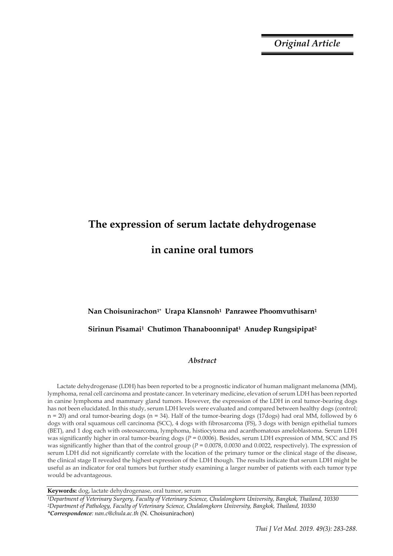*Original Article*

# **The expression of serum lactate dehydrogenase in canine oral tumors**

## **Nan Choisunirachon1\* Urapa Klansnoh1 Panrawee Phoomvuthisarn<sup>1</sup> Sirinun Pisamai1 Chutimon Thanaboonnipat1 Anudep Rungsipipat<sup>2</sup>**

### *Abstract*

Lactate dehydrogenase (LDH) has been reported to be a prognostic indicator of human malignant melanoma (MM), lymphoma, renal cell carcinoma and prostate cancer. In veterinary medicine, elevation of serum LDH has been reported in canine lymphoma and mammary gland tumors. However, the expression of the LDH in oral tumor-bearing dogs has not been elucidated. In this study, serum LDH levels were evaluated and compared between healthy dogs (control; n = 20) and oral tumor-bearing dogs (n = 34). Half of the tumor-bearing dogs (17dogs) had oral MM, followed by 6 dogs with oral squamous cell carcinoma (SCC), 4 dogs with fibrosarcoma (FS), 3 dogs with benign epithelial tumors (BET), and 1 dog each with osteosarcoma, lymphoma, histiocytoma and acanthomatous ameloblastoma. Serum LDH was significantly higher in oral tumor-bearing dogs ( $P = 0.0006$ ). Besides, serum LDH expression of MM, SCC and FS was significantly higher than that of the control group (*P* = 0.0078, 0.0030 and 0.0022, respectively). The expression of serum LDH did not significantly correlate with the location of the primary tumor or the clinical stage of the disease, the clinical stage II revealed the highest expression of the LDH though. The results indicate that serum LDH might be useful as an indicator for oral tumors but further study examining a larger number of patients with each tumor type would be advantageous.

**Keywords:** dog, lactate dehydrogenase, oral tumor, serum

*<sup>1</sup>Department of Veterinary Surgery, Faculty of Veterinary Science, Chulalongkorn University, Bangkok, Thailand, 10330 <sup>2</sup>Department of Pathology, Faculty of Veterinary Science, Chulalongkorn University, Bangkok, Thailand, 10330 \*Correspondence: nan.c@chula.ac.th* (N. Choisunirachon)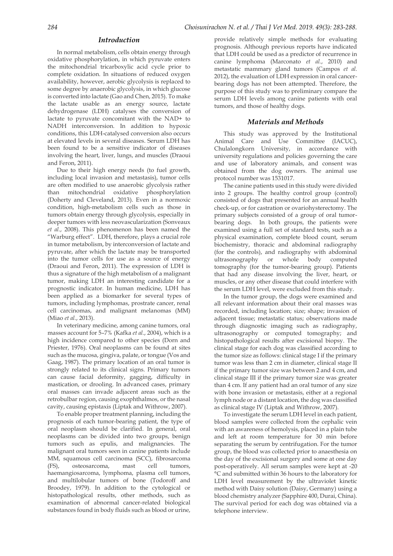#### *Introduction*

In normal metabolism, cells obtain energy through oxidative phosphorylation, in which pyruvate enters the mitochondrial tricarboxylic acid cycle prior to complete oxidation. In situations of reduced oxygen availability, however, aerobic glycolysis is replaced to some degree by anaerobic glycolysis, in which glucose is converted into lactate (Gao and Chen, 2015). To make the lactate usable as an energy source, lactate dehydrogenase (LDH) catalyses the conversion of lactate to pyruvate concomitant with the NAD+ to NADH interconversion. In addition to hypoxic conditions, this LDH-catalysed conversion also occurs at elevated levels in several diseases. Serum LDH has been found to be a sensitive indicator of diseases involving the heart, liver, lungs, and muscles (Draoui and Feron, 2011).

Due to their high energy needs (to fuel growth, including local invasion and metastasis), tumor cells are often modified to use anaerobic glycolysis rather than mitochondrial oxidative phosphorylation (Doherty and Cleveland, 2013). Even in a normoxic condition, high-metabolism cells such as those in tumors obtain energy through glycolysis, especially in deeper tumors with less neovascularization (Sonveaux *et al.*, 2008). This phenomenon has been named the "Warburg effect". LDH, therefore, plays a crucial role in tumor metabolism, by interconversion of lactate and pyruvate, after which the lactate may be transported into the tumor cells for use as a source of energy (Draoui and Feron, 2011). The expression of LDH is thus a signature of the high metabolism of a malignant tumor, making LDH an interesting candidate for a prognostic indicator. In human medicine, LDH has been applied as a biomarker for several types of tumors, including lymphomas, prostrate cancer, renal cell carcinomas, and malignant melanomas (MM) (Miao *et al.*, 2013).

In veterinary medicine, among canine tumors, oral masses account for 5–7% (Kafka *et al.*, 2004), which is a high incidence compared to other species (Dorn and Priester, 1976). Oral neoplasms can be found at sites such as the mucosa, gingiva, palate, or tongue (Vos and Gaag, 1987). The primary location of an oral tumor is strongly related to its clinical signs. Primary tumors can cause facial deformity, gagging, difficulty in mastication, or drooling. In advanced cases, primary oral masses can invade adjacent areas such as the retrobulbar region, causing exophthalmos, or the nasal cavity, causing epistaxis (Liptak and Withrow, 2007).

To enable proper treatment planning, including the prognosis of each tumor-bearing patient, the type of oral neoplasm should be clarified. In general, oral neoplasms can be divided into two groups, benign tumors such as epulis, and malignancies. The malignant oral tumors seen in canine patients include MM, squamous cell carcinoma (SCC), fibrosarcoma (FS), osteosarcoma, mast cell tumors, haemangiosarcoma, lymphoma, plasma cell tumors, and multilobular tumors of bone (Todoroff and Broodey, 1979). In addition to the cytological or histopathological results, other methods, such as examination of abnormal cancer-related biological substances found in body fluids such as blood or urine,

provide relatively simple methods for evaluating prognosis. Although previous reports have indicated that LDH could be used as a predictor of recurrence in canine lymphoma (Marconato *et al.*, 2010) and metastatic mammary gland tumors (Campos *et al.* 2012), the evaluation of LDH expression in oral cancerbearing dogs has not been attempted. Therefore, the purpose of this study was to preliminary compare the serum LDH levels among canine patients with oral tumors, and those of healthy dogs.

#### *Materials and Methods*

This study was approved by the Institutional Animal Care and Use Committee (IACUC), Chulalongkorn University, in accordance with university regulations and policies governing the care and use of laboratory animals, and consent was obtained from the dog owners. The animal use protocol number was 1531017.

The canine patients used in this study were divided into 2 groups. The healthy control group (control) consisted of dogs that presented for an annual health check-up, or for castration or ovariohysterectomy. The primary subjects consisted of a group of oral tumorbearing dogs. In both groups, the patients were examined using a full set of standard tests, such as a physical examination, complete blood count, serum biochemistry, thoracic and abdominal radiography (for the controls), and radiography with abdominal ultrasonography or whole body computed tomography (for the tumor-bearing group). Patients that had any disease involving the liver, heart, or muscles, or any other disease that could interfere with the serum LDH level, were excluded from this study.

In the tumor group, the dogs were examined and all relevant information about their oral masses was recorded, including location; size; shape; invasion of adjacent tissue; metastatic status; observations made through diagnostic imaging such as radiography, ultrasonography or computed tomography; and histopathological results after excisional biopsy. The clinical stage for each dog was classified according to the tumor size as follows: clinical stage I if the primary tumor was less than 2 cm in diameter, clinical stage II if the primary tumor size was between 2 and 4 cm, and clinical stage III if the primary tumor size was greater than 4 cm. If any patient had an oral tumor of any size with bone invasion or metastasis, either at a regional lymph node or a distant location, the dog was classified as clinical stage IV (Liptak and Withrow, 2007).

To investigate the serum LDH level in each patient, blood samples were collected from the cephalic vein with an awareness of hemolysis, placed in a plain tube and left at room temperature for 30 min before separating the serum by centrifugation. For the tumor group, the blood was collected prior to anaesthesia on the day of the excisional surgery and some at one day post-operatively. All serum samples were kept at -20 °C and submitted within 36 hours to the laboratory for LDH level measurement by the ultraviolet kinetic method with Daisy solution (Daisy, Germany) using a blood chemistry analyzer (Sapphire 400, Durai, China). The survival period for each dog was obtained via a telephone interview.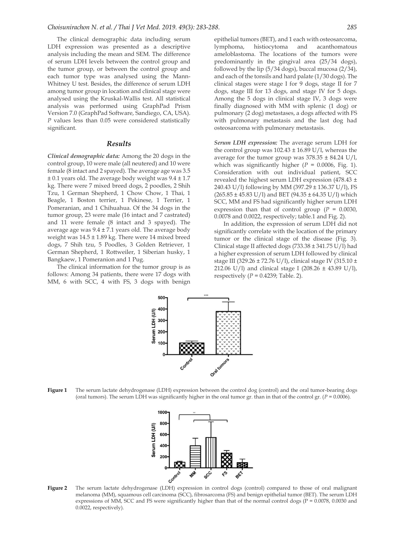The clinical demographic data including serum LDH expression was presented as a descriptive analysis including the mean and SEM. The difference of serum LDH levels between the control group and the tumor group, or between the control group and each tumor type was analysed using the Mann-Whitney U test. Besides, the difference of serum LDH among tumor group in location and clinical stage were analysed using the Kruskal-Wallis test. All statistical analysis was performed using GraphPad Prism Version 7.0 (GraphPad Software, Sandiego, CA, USA). *P* values less than 0.05 were considered statistically significant.

#### *Results*

*Clinical demographic data:* Among the 20 dogs in the control group, 10 were male (all neutered) and 10 were female (8 intact and 2 spayed). The average age was 3.5  $\pm$  0.1 years old. The average body weight was  $9.4 \pm 1.7$ kg. There were 7 mixed breed dogs, 2 poodles, 2 Shih Tzu, 1 German Shepherd, 1 Chow Chow, 1 Thai, 1 Beagle, 1 Boston terrier, 1 Pekinese, 1 Terrier, 1 Pomeranian, and 1 Chihuahua. Of the 34 dogs in the tumor group, 23 were male (16 intact and 7 castrated) and 11 were female (8 intact and 3 spayed). The average age was  $9.4 \pm 7.1$  years old. The average body weight was 14.5 ± 1.89 kg. There were 14 mixed breed dogs, 7 Shih tzu, 5 Poodles, 3 Golden Retriever, 1 German Shepherd, 1 Rottweiler, 1 Siberian husky, 1 Bangkaew, 1 Pomeranion and 1 Pug.

The clinical information for the tumor group is as follows: Among 34 patients, there were 17 dogs with MM, 6 with SCC, 4 with FS, 3 dogs with benign

epithelial tumors (BET), and 1 each with osteosarcoma, lymphoma, histiocytoma and acanthomatous ameloblastoma. The locations of the tumors were predominantly in the gingival area (25/34 dogs), followed by the lip (5/34 dogs), buccal mucosa (2/34), and each of the tonsils and hard palate (1/30 dogs). The clinical stages were stage I for 9 dogs, stage II for 7 dogs, stage III for 13 dogs, and stage IV for 5 dogs. Among the 5 dogs in clinical stage IV, 3 dogs were finally diagnosed with MM with splenic (1 dog) or pulmonary (2 dog) metastases, a dogs affected with FS with pulmonary metastasis and the last dog had osteosarcoma with pulmonary metastasis.

*Serum LDH expression:* The average serum LDH for the control group was  $102.43 \pm 16.89$  U/l, whereas the average for the tumor group was  $378.35 \pm 84.24 \text{ U/l}$ , which was significantly higher  $(P = 0.0006, Fig. 1)$ . Consideration with out individual patient, SCC revealed the highest serum LDH expression (478.43 ± 240.43 U/l) following by MM (397.29 ± 136.37 U/l), FS  $(265.85 \pm 45.83 \text{ U/I})$  and BET  $(94.35 \pm 64.35 \text{ U/I})$  which SCC, MM and FS had significantly higher serum LDH expression than that of control group  $(P = 0.0030)$ , 0.0078 and 0.0022, respectively; table.1 and Fig. 2).

In addition, the expression of serum LDH did not significantly correlate with the location of the primary tumor or the clinical stage of the disease (Fig. 3). Clinical stage II affected dogs (733.38 ± 341.75 U/l) had a higher expression of serum LDH followed by clinical stage III (329.26 ± 72.76 U/l), clinical stage IV (315.10 ± 212.06 U/l) and clinical stage I (208.26  $\pm$  43.89 U/l), respectively  $(P = 0.4239)$ ; Table. 2).



Figure 1 The serum lactate dehydrogenase (LDH) expression between the control dog (control) and the oral tumor-bearing dogs (oral tumors). The serum LDH was significantly higher in the oral tumor gr. than in that of the control gr.  $(P = 0.0006)$ .



**Figure 2** The serum lactate dehydrogenase (LDH) expression in control dogs (control) compared to those of oral malignant melanoma (MM), squamous cell carcinoma (SCC), fibrosarcoma (FS) and benign epithelial tumor (BET). The serum LDH expressions of MM, SCC and FS were significantly higher than that of the normal control dogs ( $P = 0.0078$ , 0.0030 and 0.0022, respectively).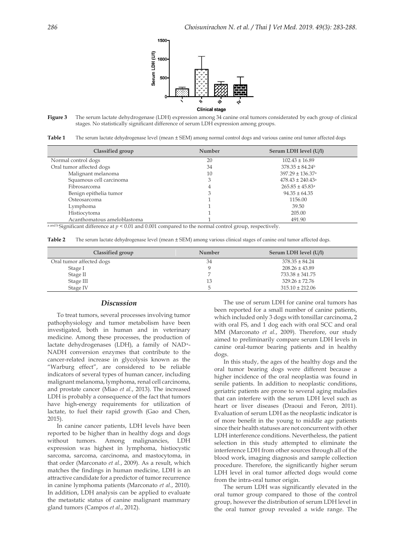

**Figure 3** The serum lactate dehydrogenase (LDH) expression among 34 canine oral tumors considerated by each group of clinical stages. No statistically significant difference of serum LDH expression among groups.

Table 1 The serum lactate dehydrogenase level (mean  $\pm$  SEM) among normal control dogs and various canine oral tumor affected dogs

| Classified group            | Number | Serum LDH level (U/l)            |
|-----------------------------|--------|----------------------------------|
| Normal control dogs         | 20     | $102.43 \pm 16.89$               |
| Oral tumor affected dogs    | 34     | $378.35 \pm 84.24^b$             |
| Malignant melanoma          | 10     | $397.29 \pm 136.37$ <sup>a</sup> |
| Squamous cell carcinoma     |        | $478.43 \pm 240.43$ <sup>a</sup> |
| Fibrosarcoma                | 4      | $265.85 \pm 45.83$ <sup>a</sup>  |
| Benign epithelia tumor      |        | $94.35 \pm 64.35$                |
| Osteosarcoma                |        | 1156.00                          |
| Lymphoma                    |        | 39.50                            |
| Histiocytoma                |        | 205.00                           |
| Acanthomatous ameloblastoma |        | 491.90                           |

 $\frac{a \text{ and } b}{b}$  Significant difference at  $p < 0.01$  and 0.001 compared to the normal control group, respectively.

**Table 2** The serum lactate dehydrogenase level (mean  $\pm$  SEM) among various clinical stages of canine oral tumor affected dogs.

| Classified group         | Number | Serum LDH level (U/l) |
|--------------------------|--------|-----------------------|
| Oral tumor affected dogs | 34     | $378.35 \pm 84.24$    |
| Stage I                  |        | $208.26 \pm 43.89$    |
| Stage II                 |        | $733.38 \pm 341.75$   |
| Stage III                | 13     | $329.26 \pm 72.76$    |
| Stage IV                 |        | $315.10 \pm 212.06$   |

#### *Discussion*

To treat tumors, several processes involving tumor pathophysiology and tumor metabolism have been investigated, both in human and in veterinary medicine. Among these processes, the production of lactate dehydrogenases (LDH), a family of NAD+- NADH conversion enzymes that contribute to the cancer-related increase in glycolysis known as the "Warburg effect", are considered to be reliable indicators of several types of human cancer, including malignant melanoma, lymphoma, renal cell carcinoma, and prostate cancer (Miao *et al.*, 2013). The increased LDH is probably a consequence of the fact that tumors have high-energy requirements for utilization of lactate, to fuel their rapid growth (Gao and Chen, 2015).

In canine cancer patients, LDH levels have been reported to be higher than in healthy dogs and dogs without tumors. Among malignancies, LDH expression was highest in lymphoma, histiocystic sarcoma, sarcoma, carcinoma, and mastocytoma, in that order (Marconato *et al.*, 2009). As a result, which matches the findings in human medicine, LDH is an attractive candidate for a predictor of tumor recurrence in canine lymphoma patients (Marconato *et al.*, 2010). In addition, LDH analysis can be applied to evaluate the metastatic status of canine malignant mammary gland tumors (Campos *et al.*, 2012).

The use of serum LDH for canine oral tumors has been reported for a small number of canine patients, which included only 3 dogs with tonsillar carcinoma, 2 with oral FS, and 1 dog each with oral SCC and oral MM (Marconato *et al.*, 2009). Therefore, our study aimed to preliminarily compare serum LDH levels in canine oral-tumor bearing patients and in healthy dogs.

In this study, the ages of the healthy dogs and the oral tumor bearing dogs were different because a higher incidence of the oral neoplastia was found in senile patients. In addition to neoplastic conditions, geriatric patients are prone to several aging maladies that can interfere with the serum LDH level such as heart or liver diseases (Draoui and Feron, 2011). Evaluation of serum LDH as the neoplastic indicator is of more benefit in the young to middle age patients since their health statuses are not concurrent with other LDH interference conditions. Nevertheless, the patient selection in this study attempted to eliminate the interference LDH from other sources through all of the blood work, imaging diagnosis and sample collection procedure. Therefore, the significantly higher serum LDH level in oral tumor affected dogs would come from the intra-oral tumor origin.

The serum LDH was significantly elevated in the oral tumor group compared to those of the control group, however the distribution of serum LDH level in the oral tumor group revealed a wide range. The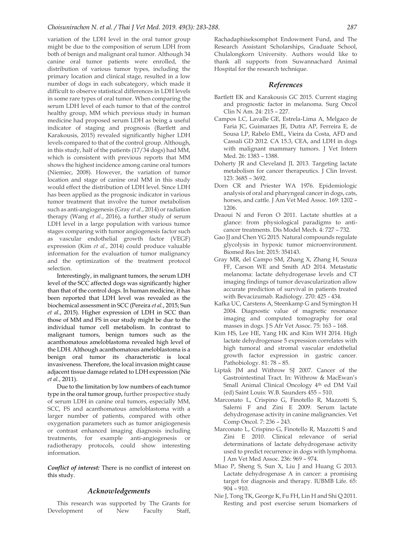variation of the LDH level in the oral tumor group might be due to the composition of serum LDH from both of benign and malignant oral tumor. Although 34 canine oral tumor patients were enrolled, the distribution of various tumor types, including the primary location and clinical stage, resulted in a low number of dogs in each subcategory, which made it difficult to observe statistical differences in LDH levels in some rare types of oral tumor. When comparing the serum LDH level of each tumor to that of the control healthy group, MM which previous study in human medicine had proposed serum LDH as being a useful indicator of staging and prognosis (Bartlett and Karakousis, 2015) revealed significantly higher LDH levels compared to that of the control group. Although, in this study, half of the patients (17/34 dogs) had MM, which is consistent with previous reports that MM shows the highest incidence among canine oral tumors (Niemiec, 2008). However, the variation of tumor location and stage of canine oral MM in this study would effect the distribution of LDH level. Since LDH has been applied as the prognosic indicator in various tumor treatment that involve the tumor metabolism such as anti-angiogenesis (Gray *et al.*, 2014) or radiation therapy (Wang *et al.*, 2016), a further study of serum LDH level in a large population with various tumor stages comparing with tumor angiogenesis factor such as vascular endothelial growth factor (VEGF) expression (Kim *et al.*, 2014) could produce valuable information for the evaluation of tumor malignancy and the optimization of the treatment protocol selection.

Interestingly, in malignant tumors, the serum LDH level of the SCC affected dogs was significantly higher than that of the control dogs. In human medicine, it has been reported that LDH level was revealed as the biochemical assessment in SCC (Pereira *et al.*, 2015; Sun *et al.*, 2015). Higher expression of LDH in SCC than those of MM and FS in our study might be due to the individual tumor cell metabolism. In contrast to malignant tumors, benign tumors such as the acanthomatous ameloblastoma revealed high level of the LDH. Although acanthomatous ameloblastoma is a benign oral tumor its characteristic is local invasiveness. Therefore, the local invasion might cause adjacent tissue damage related to LDH expression (Nie *et al.*, 2011).

Due to the limitation by low numbers of each tumor type in the oral tumor group, further prospective study of serum LDH in canine oral tumors, especially MM, SCC, FS and acanthomatous ameloblastoma with a larger number of patients, compared with other oxygenation parameters such as tumor anigiogenesis or contrast enhanced imaging diagnosis including treatments, for example anti-angiogenesis or radiotherapy protocols, could show interesting information.

*Conflict of interest:* There is no conflict of interest on this study.

#### *Acknowledgements*

This research was supported by The Grants for Development of New Faculty Staff,

Rachadaphiseksomphot Endowment Fund, and The Research Assistant Scholarships, Graduate School, Chulalongkorn University. Authors would like to thank all supports from Suwannachard Animal Hospital for the research technique.

#### *References*

- Bartlett EK and Karakousis GC 2015. Current staging and prognostic factor in melanoma. Surg Oncol Clin N Am. 24: 215 – 227.
- Campos LC, Lavalle GE, Estrela-Lima A, Melgaco de Faria JC, Guimaraes JE, Dutra AP, Ferreira E, de Sousa LP, Rabelo EML, Vieira da Costa, AFD and Cassali GD 2012. CA 15.3, CEA, and LDH in dogs with malignant mammary tumors. J Vet Intern Med. 26: 1383 – 1388.
- Doherty JR and Cleveland JL 2013. Targeting lactate metabolism for cancer therapeutics. J Clin Invest. 123: 3685 – 3692.
- Dorn CR and Priester WA 1976. Epidemiologic analysis of oral and pharyngeal cancer in dogs, cats, horses, and cattle. J Am Vet Med Assoc. 169: 1202 – 1206.
- Draoui N and Feron O 2011. Lactate shuttles at a glance: from physiological paradigms to anticancer treatments. Dis Model Mech. 4: 727 – 732.
- Gao II and Chen YG 2015. Natural compounds regulate glycolysis in hypoxic tumor microenvironment. Biomed Res Int: 2015: 354143.
- Gray MR, del Campo SM, Zhang X, Zhang H, Souza FF, Carson WE and Smith AD 2014. Metastatic melanoma: lactate dehydrogenase levels and CT imaging findings of tumor devascularization allow accurate prediction of survival in patients treated with Bevacizumab. Radiology. 270: 425 - 434.
- Kafka UC, Carstens A, Steenkamp G and Symington H 2004. Diagnostic value of magnetic resonance imaging and computed tomography for oral masses in dogs. J S Afr Vet Assoc. 75: 163 – 168.
- Kim HS, Lee HE, Yang HK and Kim WH 2014. High lactate dehydrogenase 5 expression correlates with high tumoral and stromal vascular endothelial growth factor expression in gastric cancer. Pathobiology. 81: 78 – 85.
- Liptak JM and Withrow SJ 2007. Cancer of the Gastrointestinal Tract. In: Withrow & MacEwan's Small Animal Clinical Oncology 4th ed DM Vail (ed) Saint Louis: W.B. Saunders 455 – 510.
- Marconato L, Crispino G, Finotello R, Mazzotti S, Salerni F and Zini E 2009. Serum lactate dehydrogenase activity in canine malignancies. Vet Comp Oncol. 7: 236 – 243.
- Marconato L, Crispino G, Finotello R, Mazzotti S and Zini E 2010. Clinical relevance of serial determinations of lactate dehydrogenase activity used to predict recurrence in dogs with lymphoma. J Am Vet Med Assoc. 236: 969 – 974.
- Miao P, Sheng S, Sun X, Liu J and Huang G 2013. Lactate dehydrogenase A in cancer: a promising target for diagnosis and therapy. IUBMB Life. 65: 904 – 910.
- Nie J, Tong TK, George K, Fu FH, Lin H and Shi Q 2011. Resting and post exercise serum biomarkers of